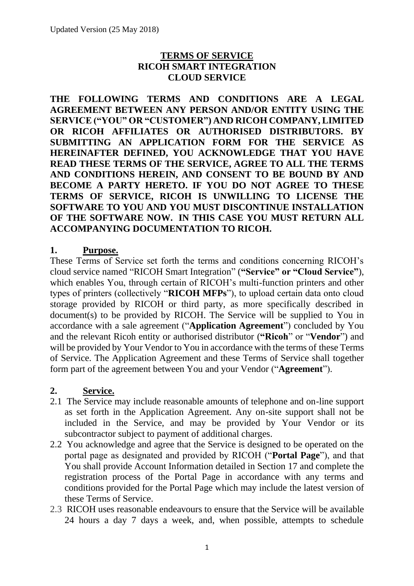### **TERMS OF SERVICE RICOH SMART INTEGRATION CLOUD SERVICE**

**THE FOLLOWING TERMS AND CONDITIONS ARE A LEGAL AGREEMENT BETWEEN ANY PERSON AND/OR ENTITY USING THE SERVICE ("YOU" OR "CUSTOMER") AND RICOH COMPANY, LIMITED OR RICOH AFFILIATES OR AUTHORISED DISTRIBUTORS. BY SUBMITTING AN APPLICATION FORM FOR THE SERVICE AS HEREINAFTER DEFINED, YOU ACKNOWLEDGE THAT YOU HAVE READ THESE TERMS OF THE SERVICE, AGREE TO ALL THE TERMS AND CONDITIONS HEREIN, AND CONSENT TO BE BOUND BY AND BECOME A PARTY HERETO. IF YOU DO NOT AGREE TO THESE TERMS OF SERVICE, RICOH IS UNWILLING TO LICENSE THE SOFTWARE TO YOU AND YOU MUST DISCONTINUE INSTALLATION OF THE SOFTWARE NOW. IN THIS CASE YOU MUST RETURN ALL ACCOMPANYING DOCUMENTATION TO RICOH.**

### **1. Purpose.**

These Terms of Service set forth the terms and conditions concerning RICOH's cloud service named "RICOH Smart Integration" (**"Service" or "Cloud Service"**), which enables You, through certain of RICOH's multi-function printers and other types of printers (collectively "**RICOH MFPs**"), to upload certain data onto cloud storage provided by RICOH or third party, as more specifically described in document(s) to be provided by RICOH. The Service will be supplied to You in accordance with a sale agreement ("**Application Agreement**") concluded by You and the relevant Ricoh entity or authorised distributor (**"Ricoh**" or "**Vendor**") and will be provided by Your Vendor to You in accordance with the terms of these Terms of Service. The Application Agreement and these Terms of Service shall together form part of the agreement between You and your Vendor ("**Agreement**").

### **2. Service.**

- 2.1 The Service may include reasonable amounts of telephone and on-line support as set forth in the Application Agreement. Any on-site support shall not be included in the Service, and may be provided by Your Vendor or its subcontractor subject to payment of additional charges.
- 2.2 You acknowledge and agree that the Service is designed to be operated on the portal page as designated and provided by RICOH ("**Portal Page**"), and that You shall provide Account Information detailed in Section 17 and complete the registration process of the Portal Page in accordance with any terms and conditions provided for the Portal Page which may include the latest version of these Terms of Service.
- 2.3 RICOH uses reasonable endeavours to ensure that the Service will be available 24 hours a day 7 days a week, and, when possible, attempts to schedule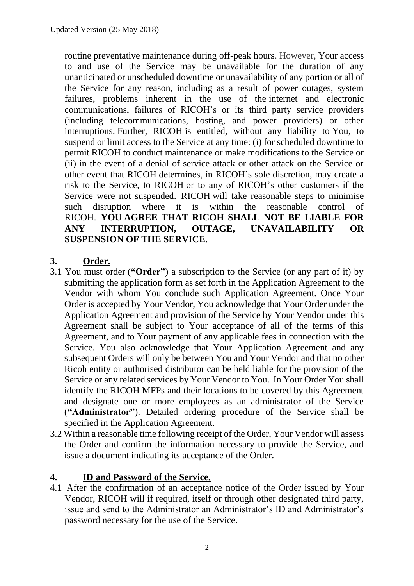routine preventative maintenance during off-peak hours. However, Your access to and use of the Service may be unavailable for the duration of any unanticipated or unscheduled downtime or unavailability of any portion or all of the Service for any reason, including as a result of power outages, system failures, problems inherent in the use of the internet and electronic communications, failures of RICOH's or its third party service providers (including telecommunications, hosting, and power providers) or other interruptions. Further, RICOH is entitled, without any liability to You, to suspend or limit access to the Service at any time: (i) for scheduled downtime to permit RICOH to conduct maintenance or make modifications to the Service or (ii) in the event of a denial of service attack or other attack on the Service or other event that RICOH determines, in RICOH's sole discretion, may create a risk to the Service, to RICOH or to any of RICOH's other customers if the Service were not suspended. RICOH will take reasonable steps to minimise such disruption where it is within the reasonable control of RICOH. **YOU AGREE THAT RICOH SHALL NOT BE LIABLE FOR ANY INTERRUPTION, OUTAGE, UNAVAILABILITY OR SUSPENSION OF THE SERVICE.**

## **3. Order.**

- 3.1 You must order (**"Order"**) a subscription to the Service (or any part of it) by submitting the application form as set forth in the Application Agreement to the Vendor with whom You conclude such Application Agreement. Once Your Order is accepted by Your Vendor, You acknowledge that Your Order under the Application Agreement and provision of the Service by Your Vendor under this Agreement shall be subject to Your acceptance of all of the terms of this Agreement, and to Your payment of any applicable fees in connection with the Service. You also acknowledge that Your Application Agreement and any subsequent Orders will only be between You and Your Vendor and that no other Ricoh entity or authorised distributor can be held liable for the provision of the Service or any related services by Your Vendor to You. In Your Order You shall identify the RICOH MFPs and their locations to be covered by this Agreement and designate one or more employees as an administrator of the Service (**"Administrator"**). Detailed ordering procedure of the Service shall be specified in the Application Agreement.
- 3.2 Within a reasonable time following receipt of the Order, Your Vendor will assess the Order and confirm the information necessary to provide the Service, and issue a document indicating its acceptance of the Order.

## **4. ID and Password of the Service.**

4.1 After the confirmation of an acceptance notice of the Order issued by Your Vendor, RICOH will if required, itself or through other designated third party, issue and send to the Administrator an Administrator's ID and Administrator's password necessary for the use of the Service.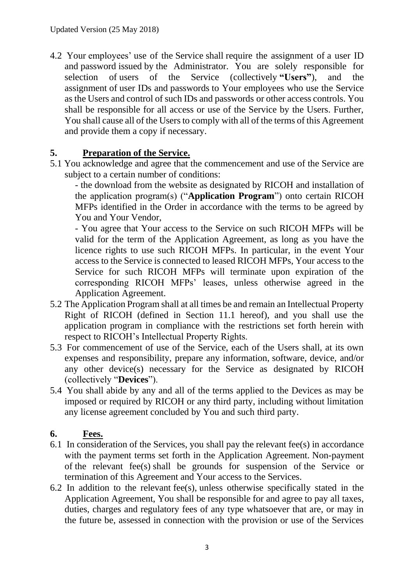4.2 Your employees' use of the Service shall require the assignment of a user ID and password issued by the Administrator. You are solely responsible for selection of users of the Service (collectively **"Users"**), and the assignment of user IDs and passwords to Your employees who use the Service as the Users and control of such IDs and passwords or other access controls. You shall be responsible for all access or use of the Service by the Users. Further, You shall cause all of the Users to comply with all of the terms of this Agreement and provide them a copy if necessary.

## **5. Preparation of the Service.**

5.1 You acknowledge and agree that the commencement and use of the Service are subject to a certain number of conditions:

- the download from the website as designated by RICOH and installation of the application program(s) ("**Application Program**") onto certain RICOH MFPs identified in the Order in accordance with the terms to be agreed by You and Your Vendor,

- You agree that Your access to the Service on such RICOH MFPs will be valid for the term of the Application Agreement, as long as you have the licence rights to use such RICOH MFPs. In particular, in the event Your access to the Service is connected to leased RICOH MFPs, Your access to the Service for such RICOH MFPs will terminate upon expiration of the corresponding RICOH MFPs' leases, unless otherwise agreed in the Application Agreement.

- 5.2 The Application Program shall at all times be and remain an Intellectual Property Right of RICOH (defined in Section 11.1 hereof), and you shall use the application program in compliance with the restrictions set forth herein with respect to RICOH's Intellectual Property Rights.
- 5.3 For commencement of use of the Service, each of the Users shall, at its own expenses and responsibility, prepare any information, software, device, and/or any other device(s) necessary for the Service as designated by RICOH (collectively "**Devices**").
- 5.4 You shall abide by any and all of the terms applied to the Devices as may be imposed or required by RICOH or any third party, including without limitation any license agreement concluded by You and such third party.

## **6. Fees.**

- 6.1 In consideration of the Services, you shall pay the relevant fee(s) in accordance with the payment terms set forth in the Application Agreement. Non-payment of the relevant fee(s) shall be grounds for suspension of the Service or termination of this Agreement and Your access to the Services.
- 6.2 In addition to the relevant fee(s), unless otherwise specifically stated in the Application Agreement, You shall be responsible for and agree to pay all taxes, duties, charges and regulatory fees of any type whatsoever that are, or may in the future be, assessed in connection with the provision or use of the Services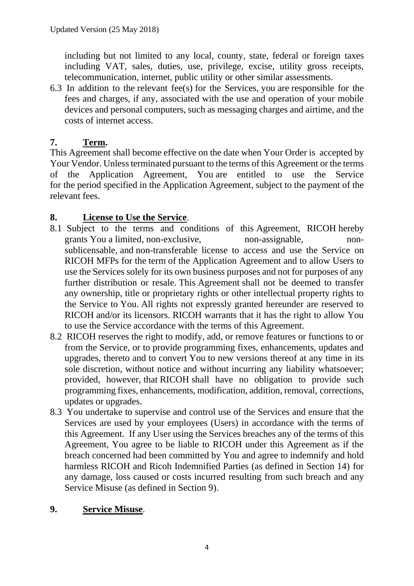including but not limited to any local, county, state, federal or foreign taxes including VAT, sales, duties, use, privilege, excise, utility gross receipts, telecommunication, internet, public utility or other similar assessments.

6.3 In addition to the relevant fee(s) for the Services, you are responsible for the fees and charges, if any, associated with the use and operation of your mobile devices and personal computers, such as messaging charges and airtime, and the costs of internet access.

# **7. Term.**

This Agreement shall become effective on the date when Your Order is accepted by Your Vendor. Unless terminated pursuant to the terms of this Agreement or the terms of the Application Agreement, You are entitled to use the Service for the period specified in the Application Agreement, subject to the payment of the relevant fees.

## **8. License to Use the Service**.

- 8.1 Subject to the terms and conditions of this Agreement, RICOH hereby grants You a limited, non-exclusive, non-assignable, nonsublicensable, and non-transferable license to access and use the Service on RICOH MFPs for the term of the Application Agreement and to allow Users to use the Services solely for its own business purposes and not for purposes of any further distribution or resale. This Agreement shall not be deemed to transfer any ownership, title or proprietary rights or other intellectual property rights to the Service to You. All rights not expressly granted hereunder are reserved to RICOH and/or its licensors. RICOH warrants that it has the right to allow You to use the Service accordance with the terms of this Agreement.
- 8.2 RICOH reserves the right to modify, add, or remove features or functions to or from the Service, or to provide programming fixes, enhancements, updates and upgrades, thereto and to convert You to new versions thereof at any time in its sole discretion, without notice and without incurring any liability whatsoever; provided, however, that RICOH shall have no obligation to provide such programming fixes, enhancements, modification, addition, removal, corrections, updates or upgrades.
- 8.3 You undertake to supervise and control use of the Services and ensure that the Services are used by your employees (Users) in accordance with the terms of this Agreement. If any User using the Services breaches any of the terms of this Agreement, You agree to be liable to RICOH under this Agreement as if the breach concerned had been committed by You and agree to indemnify and hold harmless RICOH and Ricoh Indemnified Parties (as defined in Section 14) for any damage, loss caused or costs incurred resulting from such breach and any Service Misuse (as defined in Section 9).

## **9. Service Misuse**.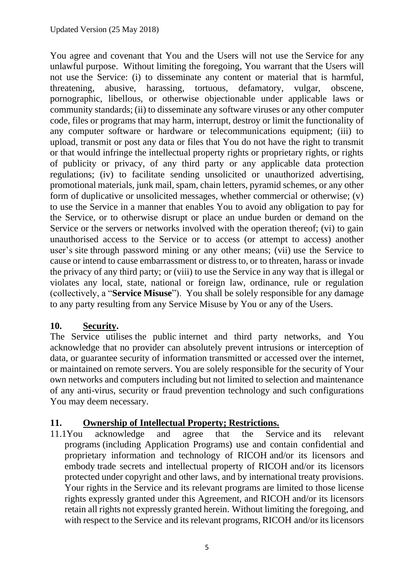You agree and covenant that You and the Users will not use the Service for any unlawful purpose. Without limiting the foregoing, You warrant that the Users will not use the Service: (i) to disseminate any content or material that is harmful, threatening, abusive, harassing, tortuous, defamatory, vulgar, obscene, pornographic, libellous, or otherwise objectionable under applicable laws or community standards; (ii) to disseminate any software viruses or any other computer code, files or programs that may harm, interrupt, destroy or limit the functionality of any computer software or hardware or telecommunications equipment; (iii) to upload, transmit or post any data or files that You do not have the right to transmit or that would infringe the intellectual property rights or proprietary rights, or rights of publicity or privacy, of any third party or any applicable data protection regulations; (iv) to facilitate sending unsolicited or unauthorized advertising, promotional materials, junk mail, spam, chain letters, pyramid schemes, or any other form of duplicative or unsolicited messages, whether commercial or otherwise; (v) to use the Service in a manner that enables You to avoid any obligation to pay for the Service, or to otherwise disrupt or place an undue burden or demand on the Service or the servers or networks involved with the operation thereof; (vi) to gain unauthorised access to the Service or to access (or attempt to access) another user's site through password mining or any other means; (vii) use the Service to cause or intend to cause embarrassment or distress to, or to threaten, harass or invade the privacy of any third party; or (viii) to use the Service in any way that is illegal or violates any local, state, national or foreign law, ordinance, rule or regulation (collectively, a "**Service Misuse**"). You shall be solely responsible for any damage to any party resulting from any Service Misuse by You or any of the Users.

## **10. Security.**

The Service utilises the public internet and third party networks, and You acknowledge that no provider can absolutely prevent intrusions or interception of data, or guarantee security of information transmitted or accessed over the internet, or maintained on remote servers. You are solely responsible for the security of Your own networks and computers including but not limited to selection and maintenance of any anti-virus, security or fraud prevention technology and such configurations You may deem necessary.

## **11. Ownership of Intellectual Property; Restrictions.**

11.1You acknowledge and agree that the Service and its relevant programs (including Application Programs) use and contain confidential and proprietary information and technology of RICOH and/or its licensors and embody trade secrets and intellectual property of RICOH and/or its licensors protected under copyright and other laws, and by international treaty provisions. Your rights in the Service and its relevant programs are limited to those license rights expressly granted under this Agreement, and RICOH and/or its licensors retain all rights not expressly granted herein. Without limiting the foregoing, and with respect to the Service and its relevant programs, RICOH and/or its licensors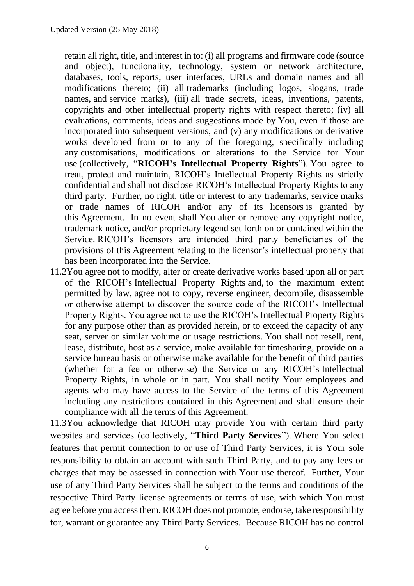retain all right, title, and interest in to: (i) all programs and firmware code (source and object), functionality, technology, system or network architecture, databases, tools, reports, user interfaces, URLs and domain names and all modifications thereto; (ii) all trademarks (including logos, slogans, trade names, and service marks), (iii) all trade secrets, ideas, inventions, patents, copyrights and other intellectual property rights with respect thereto; (iv) all evaluations, comments, ideas and suggestions made by You, even if those are incorporated into subsequent versions, and (v) any modifications or derivative works developed from or to any of the foregoing, specifically including any customisations, modifications or alterations to the Service for Your use (collectively, "**RICOH's Intellectual Property Rights**"). You agree to treat, protect and maintain, RICOH's Intellectual Property Rights as strictly confidential and shall not disclose RICOH's Intellectual Property Rights to any third party. Further, no right, title or interest to any trademarks, service marks or trade names of RICOH and/or any of its licensors is granted by this Agreement. In no event shall You alter or remove any copyright notice, trademark notice, and/or proprietary legend set forth on or contained within the Service. RICOH's licensors are intended third party beneficiaries of the provisions of this Agreement relating to the licensor's intellectual property that has been incorporated into the Service.

11.2You agree not to modify, alter or create derivative works based upon all or part of the RICOH's Intellectual Property Rights and, to the maximum extent permitted by law, agree not to copy, reverse engineer, decompile, disassemble or otherwise attempt to discover the source code of the RICOH's Intellectual Property Rights. You agree not to use the RICOH's Intellectual Property Rights for any purpose other than as provided herein, or to exceed the capacity of any seat, server or similar volume or usage restrictions. You shall not resell, rent, lease, distribute, host as a service, make available for timesharing, provide on a service bureau basis or otherwise make available for the benefit of third parties (whether for a fee or otherwise) the Service or any RICOH's Intellectual Property Rights, in whole or in part. You shall notify Your employees and agents who may have access to the Service of the terms of this Agreement including any restrictions contained in this Agreement and shall ensure their compliance with all the terms of this Agreement.

11.3You acknowledge that RICOH may provide You with certain third party websites and services (collectively, "**Third Party Services**"). Where You select features that permit connection to or use of Third Party Services, it is Your sole responsibility to obtain an account with such Third Party, and to pay any fees or charges that may be assessed in connection with Your use thereof. Further, Your use of any Third Party Services shall be subject to the terms and conditions of the respective Third Party license agreements or terms of use, with which You must agree before you access them. RICOH does not promote, endorse, take responsibility for, warrant or guarantee any Third Party Services. Because RICOH has no control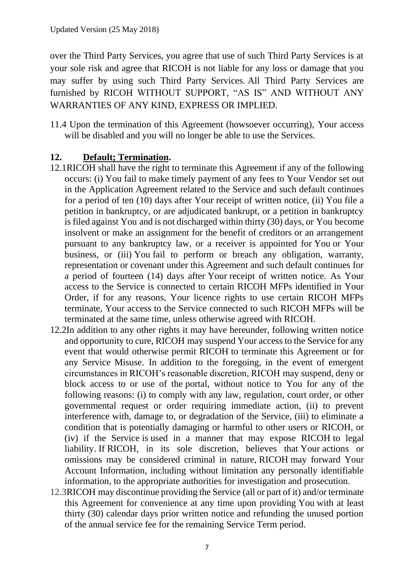over the Third Party Services, you agree that use of such Third Party Services is at your sole risk and agree that RICOH is not liable for any loss or damage that you may suffer by using such Third Party Services. All Third Party Services are furnished by RICOH WITHOUT SUPPORT, "AS IS" AND WITHOUT ANY WARRANTIES OF ANY KIND, EXPRESS OR IMPLIED.

11.4 Upon the termination of this Agreement (howsoever occurring), Your access will be disabled and you will no longer be able to use the Services.

## **12. Default; Termination.**

- 12.1RICOH shall have the right to terminate this Agreement if any of the following occurs: (i) You fail to make timely payment of any fees to Your Vendor set out in the Application Agreement related to the Service and such default continues for a period of ten (10) days after Your receipt of written notice, (ii) You file a petition in bankruptcy, or are adjudicated bankrupt, or a petition in bankruptcy is filed against You and is not discharged within thirty (30) days, or You become insolvent or make an assignment for the benefit of creditors or an arrangement pursuant to any bankruptcy law, or a receiver is appointed for You or Your business, or (iii) You fail to perform or breach any obligation, warranty, representation or covenant under this Agreement and such default continues for a period of fourteen (14) days after Your receipt of written notice. As Your access to the Service is connected to certain RICOH MFPs identified in Your Order, if for any reasons, Your licence rights to use certain RICOH MFPs terminate, Your access to the Service connected to such RICOH MFPs will be terminated at the same time, unless otherwise agreed with RICOH.
- 12.2In addition to any other rights it may have hereunder, following written notice and opportunity to cure, RICOH may suspend Your access to the Service for any event that would otherwise permit RICOH to terminate this Agreement or for any Service Misuse. In addition to the foregoing, in the event of emergent circumstances in RICOH's reasonable discretion, RICOH may suspend, deny or block access to or use of the portal, without notice to You for any of the following reasons: (i) to comply with any law, regulation, court order, or other governmental request or order requiring immediate action, (ii) to prevent interference with, damage to, or degradation of the Service, (iii) to eliminate a condition that is potentially damaging or harmful to other users or RICOH, or (iv) if the Service is used in a manner that may expose RICOH to legal liability. If RICOH, in its sole discretion, believes that Your actions or omissions may be considered criminal in nature, RICOH may forward Your Account Information, including without limitation any personally identifiable information, to the appropriate authorities for investigation and prosecution.
- 12.3RICOH may discontinue providing the Service (all or part of it) and/or terminate this Agreement for convenience at any time upon providing You with at least thirty (30) calendar days prior written notice and refunding the unused portion of the annual service fee for the remaining Service Term period.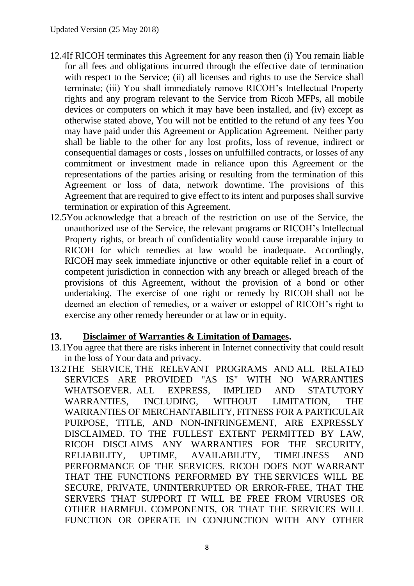- 12.4If RICOH terminates this Agreement for any reason then (i) You remain liable for all fees and obligations incurred through the effective date of termination with respect to the Service; (ii) all licenses and rights to use the Service shall terminate; (iii) You shall immediately remove RICOH's Intellectual Property rights and any program relevant to the Service from Ricoh MFPs, all mobile devices or computers on which it may have been installed, and (iv) except as otherwise stated above, You will not be entitled to the refund of any fees You may have paid under this Agreement or Application Agreement. Neither party shall be liable to the other for any lost profits, loss of revenue, indirect or consequential damages or costs , losses on unfulfilled contracts, or losses of any commitment or investment made in reliance upon this Agreement or the representations of the parties arising or resulting from the termination of this Agreement or loss of data, network downtime. The provisions of this Agreement that are required to give effect to its intent and purposes shall survive termination or expiration of this Agreement.
- 12.5You acknowledge that a breach of the restriction on use of the Service, the unauthorized use of the Service, the relevant programs or RICOH's Intellectual Property rights, or breach of confidentiality would cause irreparable injury to RICOH for which remedies at law would be inadequate. Accordingly, RICOH may seek immediate injunctive or other equitable relief in a court of competent jurisdiction in connection with any breach or alleged breach of the provisions of this Agreement, without the provision of a bond or other undertaking. The exercise of one right or remedy by RICOH shall not be deemed an election of remedies, or a waiver or estoppel of RICOH's right to exercise any other remedy hereunder or at law or in equity.

### **13. Disclaimer of Warranties & Limitation of Damages.**

- 13.1You agree that there are risks inherent in Internet connectivity that could result in the loss of Your data and privacy.
- 13.2THE SERVICE, THE RELEVANT PROGRAMS AND ALL RELATED SERVICES ARE PROVIDED "AS IS" WITH NO WARRANTIES WHATSOEVER. ALL EXPRESS, IMPLIED AND STATUTORY WARRANTIES, INCLUDING, WITHOUT LIMITATION, THE WARRANTIES OF MERCHANTABILITY, FITNESS FOR A PARTICULAR PURPOSE, TITLE, AND NON-INFRINGEMENT, ARE EXPRESSLY DISCLAIMED. TO THE FULLEST EXTENT PERMITTED BY LAW, RICOH DISCLAIMS ANY WARRANTIES FOR THE SECURITY, RELIABILITY, UPTIME, AVAILABILITY, TIMELINESS AND PERFORMANCE OF THE SERVICES. RICOH DOES NOT WARRANT THAT THE FUNCTIONS PERFORMED BY THE SERVICES WILL BE SECURE, PRIVATE, UNINTERRUPTED OR ERROR-FREE, THAT THE SERVERS THAT SUPPORT IT WILL BE FREE FROM VIRUSES OR OTHER HARMFUL COMPONENTS, OR THAT THE SERVICES WILL FUNCTION OR OPERATE IN CONJUNCTION WITH ANY OTHER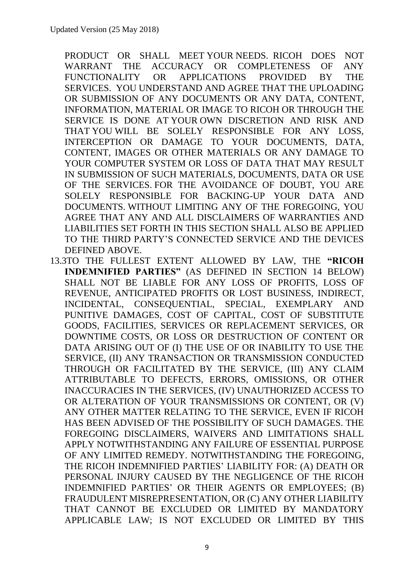PRODUCT OR SHALL MEET YOUR NEEDS. RICOH DOES NOT WARRANT THE ACCURACY OR COMPLETENESS OF ANY FUNCTIONALITY OR APPLICATIONS PROVIDED BY THE SERVICES. YOU UNDERSTAND AND AGREE THAT THE UPLOADING OR SUBMISSION OF ANY DOCUMENTS OR ANY DATA, CONTENT, INFORMATION, MATERIAL OR IMAGE TO RICOH OR THROUGH THE SERVICE IS DONE AT YOUR OWN DISCRETION AND RISK AND THAT YOU WILL BE SOLELY RESPONSIBLE FOR ANY LOSS, INTERCEPTION OR DAMAGE TO YOUR DOCUMENTS, DATA, CONTENT, IMAGES OR OTHER MATERIALS OR ANY DAMAGE TO YOUR COMPUTER SYSTEM OR LOSS OF DATA THAT MAY RESULT IN SUBMISSION OF SUCH MATERIALS, DOCUMENTS, DATA OR USE OF THE SERVICES. FOR THE AVOIDANCE OF DOUBT, YOU ARE SOLELY RESPONSIBLE FOR BACKING-UP YOUR DATA AND DOCUMENTS. WITHOUT LIMITING ANY OF THE FOREGOING, YOU AGREE THAT ANY AND ALL DISCLAIMERS OF WARRANTIES AND LIABILITIES SET FORTH IN THIS SECTION SHALL ALSO BE APPLIED TO THE THIRD PARTY'S CONNECTED SERVICE AND THE DEVICES DEFINED ABOVE.

13.3TO THE FULLEST EXTENT ALLOWED BY LAW, THE **"RICOH INDEMNIFIED PARTIES"** (AS DEFINED IN SECTION 14 BELOW) SHALL NOT BE LIABLE FOR ANY LOSS OF PROFITS, LOSS OF REVENUE, ANTICIPATED PROFITS OR LOST BUSINESS, INDIRECT, INCIDENTAL, CONSEQUENTIAL, SPECIAL, EXEMPLARY AND PUNITIVE DAMAGES, COST OF CAPITAL, COST OF SUBSTITUTE GOODS, FACILITIES, SERVICES OR REPLACEMENT SERVICES, OR DOWNTIME COSTS, OR LOSS OR DESTRUCTION OF CONTENT OR DATA ARISING OUT OF (I) THE USE OF OR INABILITY TO USE THE SERVICE, (II) ANY TRANSACTION OR TRANSMISSION CONDUCTED THROUGH OR FACILITATED BY THE SERVICE, (III) ANY CLAIM ATTRIBUTABLE TO DEFECTS, ERRORS, OMISSIONS, OR OTHER INACCURACIES IN THE SERVICES, (IV) UNAUTHORIZED ACCESS TO OR ALTERATION OF YOUR TRANSMISSIONS OR CONTENT, OR (V) ANY OTHER MATTER RELATING TO THE SERVICE, EVEN IF RICOH HAS BEEN ADVISED OF THE POSSIBILITY OF SUCH DAMAGES. THE FOREGOING DISCLAIMERS, WAIVERS AND LIMITATIONS SHALL APPLY NOTWITHSTANDING ANY FAILURE OF ESSENTIAL PURPOSE OF ANY LIMITED REMEDY. NOTWITHSTANDING THE FOREGOING, THE RICOH INDEMNIFIED PARTIES' LIABILITY FOR: (A) DEATH OR PERSONAL INJURY CAUSED BY THE NEGLIGENCE OF THE RICOH INDEMNIFIED PARTIES' OR THEIR AGENTS OR EMPLOYEES; (B) FRAUDULENT MISREPRESENTATION, OR (C) ANY OTHER LIABILITY THAT CANNOT BE EXCLUDED OR LIMITED BY MANDATORY APPLICABLE LAW; IS NOT EXCLUDED OR LIMITED BY THIS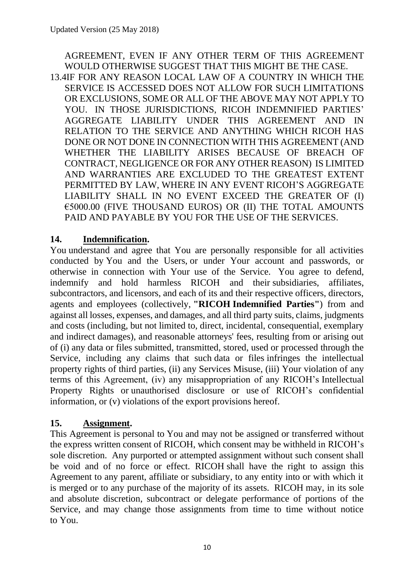## AGREEMENT, EVEN IF ANY OTHER TERM OF THIS AGREEMENT WOULD OTHERWISE SUGGEST THAT THIS MIGHT BE THE CASE.

13.4IF FOR ANY REASON LOCAL LAW OF A COUNTRY IN WHICH THE SERVICE IS ACCESSED DOES NOT ALLOW FOR SUCH LIMITATIONS OR EXCLUSIONS, SOME OR ALL OF THE ABOVE MAY NOT APPLY TO YOU. IN THOSE JURISDICTIONS, RICOH INDEMNIFIED PARTIES' AGGREGATE LIABILITY UNDER THIS AGREEMENT AND IN RELATION TO THE SERVICE AND ANYTHING WHICH RICOH HAS DONE OR NOT DONE IN CONNECTION WITH THIS AGREEMENT (AND WHETHER THE LIABILITY ARISES BECAUSE OF BREACH OF CONTRACT, NEGLIGENCE OR FOR ANY OTHER REASON) IS LIMITED AND WARRANTIES ARE EXCLUDED TO THE GREATEST EXTENT PERMITTED BY LAW, WHERE IN ANY EVENT RICOH'S AGGREGATE LIABILITY SHALL IN NO EVENT EXCEED THE GREATER OF (I) €5000.00 (FIVE THOUSAND EUROS) OR (II) THE TOTAL AMOUNTS PAID AND PAYABLE BY YOU FOR THE USE OF THE SERVICES.

## **14. Indemnification.**

You understand and agree that You are personally responsible for all activities conducted by You and the Users, or under Your account and passwords, or otherwise in connection with Your use of the Service. You agree to defend, indemnify and hold harmless RICOH and their subsidiaries, affiliates, subcontractors, and licensors, and each of its and their respective officers, directors, agents and employees (collectively, **"RICOH Indemnified Parties"**) from and against all losses, expenses, and damages, and all third party suits, claims, judgments and costs (including, but not limited to, direct, incidental, consequential, exemplary and indirect damages), and reasonable attorneys' fees, resulting from or arising out of (i) any data or files submitted, transmitted, stored, used or processed through the Service, including any claims that such data or files infringes the intellectual property rights of third parties, (ii) any Services Misuse, (iii) Your violation of any terms of this Agreement, (iv) any misappropriation of any RICOH's Intellectual Property Rights or unauthorised disclosure or use of RICOH's confidential information, or (v) violations of the export provisions hereof.

## **15. Assignment.**

This Agreement is personal to You and may not be assigned or transferred without the express written consent of RICOH, which consent may be withheld in RICOH's sole discretion. Any purported or attempted assignment without such consent shall be void and of no force or effect. RICOH shall have the right to assign this Agreement to any parent, affiliate or subsidiary, to any entity into or with which it is merged or to any purchase of the majority of its assets. RICOH may, in its sole and absolute discretion, subcontract or delegate performance of portions of the Service, and may change those assignments from time to time without notice to You.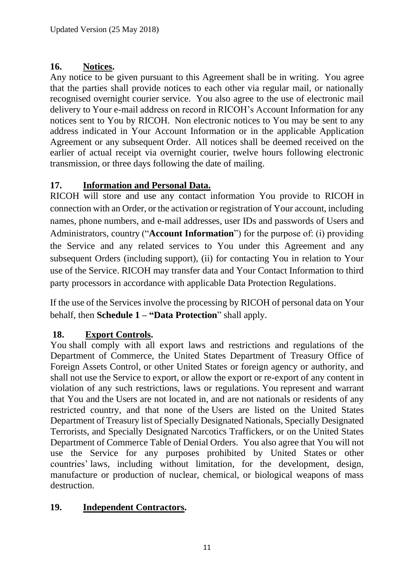# **16. Notices.**

Any notice to be given pursuant to this Agreement shall be in writing. You agree that the parties shall provide notices to each other via regular mail, or nationally recognised overnight courier service. You also agree to the use of electronic mail delivery to Your e-mail address on record in RICOH's Account Information for any notices sent to You by RICOH. Non electronic notices to You may be sent to any address indicated in Your Account Information or in the applicable Application Agreement or any subsequent Order. All notices shall be deemed received on the earlier of actual receipt via overnight courier, twelve hours following electronic transmission, or three days following the date of mailing.

# **17. Information and Personal Data.**

RICOH will store and use any contact information You provide to RICOH in connection with an Order, or the activation or registration of Your account, including names, phone numbers, and e-mail addresses, user IDs and passwords of Users and Administrators, country ("**Account Information**") for the purpose of: (i) providing the Service and any related services to You under this Agreement and any subsequent Orders (including support), (ii) for contacting You in relation to Your use of the Service. RICOH may transfer data and Your Contact Information to third party processors in accordance with applicable Data Protection Regulations.

If the use of the Services involve the processing by RICOH of personal data on Your behalf, then **Schedule 1 – "Data Protection**" shall apply.

## **18. Export Controls.**

You shall comply with all export laws and restrictions and regulations of the Department of Commerce, the United States Department of Treasury Office of Foreign Assets Control, or other United States or foreign agency or authority, and shall not use the Service to export, or allow the export or re-export of any content in violation of any such restrictions, laws or regulations. You represent and warrant that You and the Users are not located in, and are not nationals or residents of any restricted country, and that none of the Users are listed on the United States Department of Treasury list of Specially Designated Nationals, Specially Designated Terrorists, and Specially Designated Narcotics Traffickers, or on the United States Department of Commerce Table of Denial Orders. You also agree that You will not use the Service for any purposes prohibited by United States or other countries' laws, including without limitation, for the development, design, manufacture or production of nuclear, chemical, or biological weapons of mass destruction.

## **19. Independent Contractors.**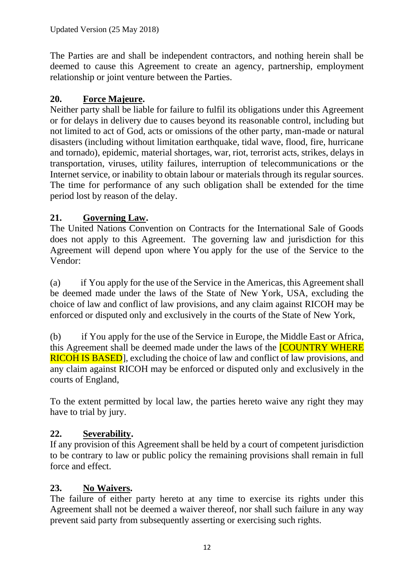The Parties are and shall be independent contractors, and nothing herein shall be deemed to cause this Agreement to create an agency, partnership, employment relationship or joint venture between the Parties.

# **20. Force Majeure.**

Neither party shall be liable for failure to fulfil its obligations under this Agreement or for delays in delivery due to causes beyond its reasonable control, including but not limited to act of God, acts or omissions of the other party, man-made or natural disasters (including without limitation earthquake, tidal wave, flood, fire, hurricane and tornado), epidemic, material shortages, war, riot, terrorist acts, strikes, delays in transportation, viruses, utility failures, interruption of telecommunications or the Internet service, or inability to obtain labour or materials through its regular sources. The time for performance of any such obligation shall be extended for the time period lost by reason of the delay.

# **21. Governing Law.**

The United Nations Convention on Contracts for the International Sale of Goods does not apply to this Agreement. The governing law and jurisdiction for this Agreement will depend upon where You apply for the use of the Service to the Vendor:

(a) if You apply for the use of the Service in the Americas, this Agreement shall be deemed made under the laws of the State of New York, USA, excluding the choice of law and conflict of law provisions, and any claim against RICOH may be enforced or disputed only and exclusively in the courts of the State of New York,

(b) if You apply for the use of the Service in Europe, the Middle East or Africa, this Agreement shall be deemed made under the laws of the **[COUNTRY WHERE** RICOH IS BASED], excluding the choice of law and conflict of law provisions, and any claim against RICOH may be enforced or disputed only and exclusively in the courts of England,

To the extent permitted by local law, the parties hereto waive any right they may have to trial by jury.

# **22. Severability.**

If any provision of this Agreement shall be held by a court of competent jurisdiction to be contrary to law or public policy the remaining provisions shall remain in full force and effect.

## **23. No Waivers.**

The failure of either party hereto at any time to exercise its rights under this Agreement shall not be deemed a waiver thereof, nor shall such failure in any way prevent said party from subsequently asserting or exercising such rights.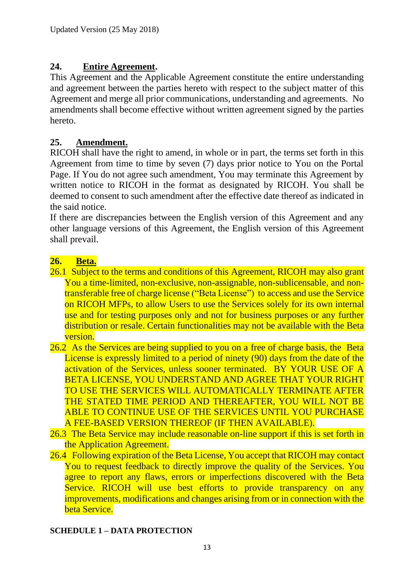## **24. Entire Agreement.**

This Agreement and the Applicable Agreement constitute the entire understanding and agreement between the parties hereto with respect to the subject matter of this Agreement and merge all prior communications, understanding and agreements. No amendments shall become effective without written agreement signed by the parties hereto.

## **25. Amendment.**

RICOH shall have the right to amend, in whole or in part, the terms set forth in this Agreement from time to time by seven (7) days prior notice to You on the Portal Page. If You do not agree such amendment, You may terminate this Agreement by written notice to RICOH in the format as designated by RICOH. You shall be deemed to consent to such amendment after the effective date thereof as indicated in the said notice.

If there are discrepancies between the English version of this Agreement and any other language versions of this Agreement, the English version of this Agreement shall prevail.

## **26. Beta.**

- 26.1 Subject to the terms and conditions of this Agreement, RICOH may also grant You a time-limited, non-exclusive, non-assignable, non-sublicensable, and nontransferable free of charge license ("Beta License") to access and use the Service on RICOH MFPs, to allow Users to use the Services solely for its own internal use and for testing purposes only and not for business purposes or any further distribution or resale. Certain functionalities may not be available with the Beta version.
- 26.2 As the Services are being supplied to you on a free of charge basis, the Beta License is expressly limited to a period of ninety (90) days from the date of the activation of the Services, unless sooner terminated. BY YOUR USE OF A BETA LICENSE, YOU UNDERSTAND AND AGREE THAT YOUR RIGHT TO USE THE SERVICES WILL AUTOMATICALLY TERMINATE AFTER THE STATED TIME PERIOD AND THEREAFTER, YOU WILL NOT BE ABLE TO CONTINUE USE OF THE SERVICES UNTIL YOU PURCHASE A FEE-BASED VERSION THEREOF (IF THEN AVAILABLE).
- 26.3 The Beta Service may include reasonable on-line support if this is set forth in the Application Agreement.
- 26.4 Following expiration of the Beta License, You accept that RICOH may contact You to request feedback to directly improve the quality of the Services. You agree to report any flaws, errors or imperfections discovered with the Beta Service. RICOH will use best efforts to provide transparency on any improvements, modifications and changes arising from or in connection with the beta Service.

### **SCHEDULE 1 – DATA PROTECTION**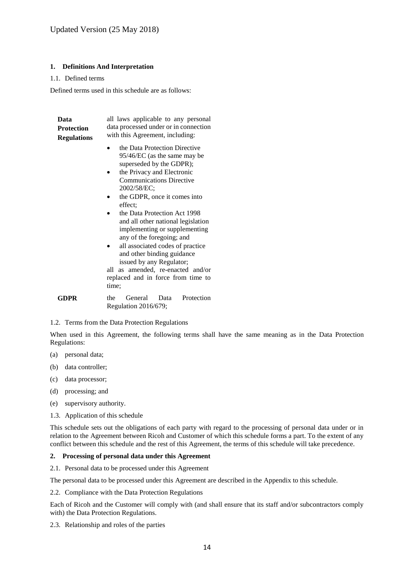### **1. Definitions And Interpretation**

### 1.1. Defined terms

Defined terms used in this schedule are as follows:

| Data<br><b>Protection</b><br><b>Regulations</b> | all laws applicable to any personal<br>data processed under or in connection<br>with this Agreement, including:                                                                                                                                                                                                                                                                                                                                                                                                                            |
|-------------------------------------------------|--------------------------------------------------------------------------------------------------------------------------------------------------------------------------------------------------------------------------------------------------------------------------------------------------------------------------------------------------------------------------------------------------------------------------------------------------------------------------------------------------------------------------------------------|
|                                                 | the Data Protection Directive<br>95/46/EC (as the same may be<br>superseded by the GDPR);<br>the Privacy and Electronic<br><b>Communications Directive</b><br>2002/58/EC;<br>the GDPR, once it comes into<br>effect:<br>the Data Protection Act 1998<br>and all other national legislation<br>implementing or supplementing<br>any of the foregoing; and<br>all associated codes of practice<br>and other binding guidance<br>issued by any Regulator;<br>all as amended, re-enacted and/or<br>replaced and in force from time to<br>time; |
| GDPR                                            | Protection<br>General<br>the<br>Data<br>Regulation $2016/679$ ;                                                                                                                                                                                                                                                                                                                                                                                                                                                                            |

1.2. Terms from the Data Protection Regulations

When used in this Agreement, the following terms shall have the same meaning as in the Data Protection Regulations:

- (a) personal data;
- (b) data controller;
- (c) data processor;
- (d) processing; and
- (e) supervisory authority.
- 1.3. Application of this schedule

This schedule sets out the obligations of each party with regard to the processing of personal data under or in relation to the Agreement between Ricoh and Customer of which this schedule forms a part. To the extent of any conflict between this schedule and the rest of this Agreement, the terms of this schedule will take precedence.

### **2. Processing of personal data under this Agreement**

2.1. Personal data to be processed under this Agreement

The personal data to be processed under this Agreement are described in the Appendix to this schedule.

2.2. Compliance with the Data Protection Regulations

Each of Ricoh and the Customer will comply with (and shall ensure that its staff and/or subcontractors comply with) the Data Protection Regulations.

2.3. Relationship and roles of the parties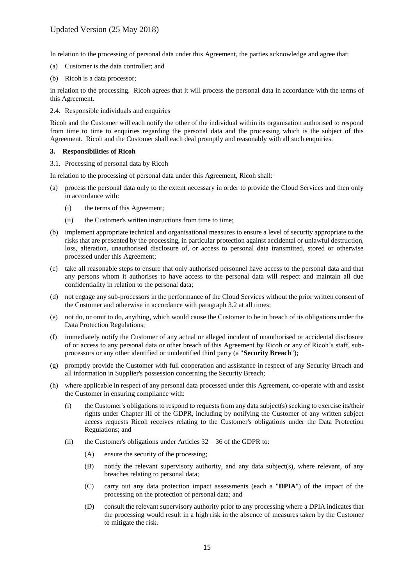In relation to the processing of personal data under this Agreement, the parties acknowledge and agree that:

- (a) Customer is the data controller; and
- (b) Ricoh is a data processor;

in relation to the processing. Ricoh agrees that it will process the personal data in accordance with the terms of this Agreement.

2.4. Responsible individuals and enquiries

Ricoh and the Customer will each notify the other of the individual within its organisation authorised to respond from time to time to enquiries regarding the personal data and the processing which is the subject of this Agreement. Ricoh and the Customer shall each deal promptly and reasonably with all such enquiries.

### **3. Responsibilities of Ricoh**

### 3.1. Processing of personal data by Ricoh

In relation to the processing of personal data under this Agreement, Ricoh shall:

- (a) process the personal data only to the extent necessary in order to provide the Cloud Services and then only in accordance with:
	- (i) the terms of this Agreement;
	- (ii) the Customer's written instructions from time to time:
- (b) implement appropriate technical and organisational measures to ensure a level of security appropriate to the risks that are presented by the processing, in particular protection against accidental or unlawful destruction, loss, alteration, unauthorised disclosure of, or access to personal data transmitted, stored or otherwise processed under this Agreement;
- (c) take all reasonable steps to ensure that only authorised personnel have access to the personal data and that any persons whom it authorises to have access to the personal data will respect and maintain all due confidentiality in relation to the personal data;
- (d) not engage any sub-processors in the performance of the Cloud Services without the prior written consent of the Customer and otherwise in accordance with paragraph [3.2](#page-15-0) at all times;
- (e) not do, or omit to do, anything, which would cause the Customer to be in breach of its obligations under the Data Protection Regulations;
- (f) immediately notify the Customer of any actual or alleged incident of unauthorised or accidental disclosure of or access to any personal data or other breach of this Agreement by Ricoh or any of Ricoh's staff, subprocessors or any other identified or unidentified third party (a "**Security Breach**");
- (g) promptly provide the Customer with full cooperation and assistance in respect of any Security Breach and all information in Supplier's possession concerning the Security Breach;
- (h) where applicable in respect of any personal data processed under this Agreement, co-operate with and assist the Customer in ensuring compliance with:
	- (i) the Customer's obligations to respond to requests from any data subject(s) seeking to exercise its/their rights under Chapter III of the GDPR, including by notifying the Customer of any written subject access requests Ricoh receives relating to the Customer's obligations under the Data Protection Regulations; and
	- (ii) the Customer's obligations under Articles  $32 36$  of the GDPR to:
		- (A) ensure the security of the processing;
		- (B) notify the relevant supervisory authority, and any data subject(s), where relevant, of any breaches relating to personal data;
		- (C) carry out any data protection impact assessments (each a "**DPIA**") of the impact of the processing on the protection of personal data; and
		- (D) consult the relevant supervisory authority prior to any processing where a DPIA indicates that the processing would result in a high risk in the absence of measures taken by the Customer to mitigate the risk.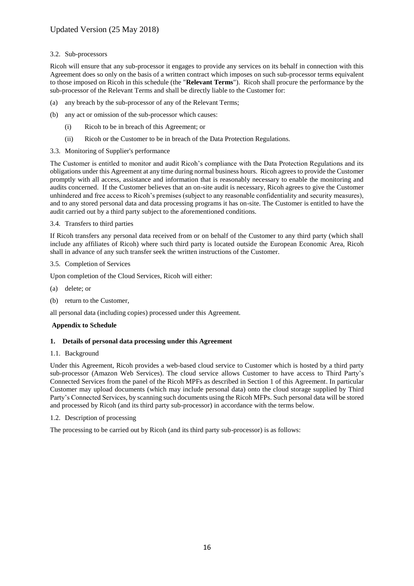### <span id="page-15-0"></span>3.2. Sub-processors

Ricoh will ensure that any sub-processor it engages to provide any services on its behalf in connection with this Agreement does so only on the basis of a written contract which imposes on such sub-processor terms equivalent to those imposed on Ricoh in this schedule (the "**Relevant Terms**"). Ricoh shall procure the performance by the sub-processor of the Relevant Terms and shall be directly liable to the Customer for:

- (a) any breach by the sub-processor of any of the Relevant Terms;
- (b) any act or omission of the sub-processor which causes:
	- (i) Ricoh to be in breach of this Agreement; or
	- (ii) Ricoh or the Customer to be in breach of the Data Protection Regulations.
- 3.3. Monitoring of Supplier's performance

The Customer is entitled to monitor and audit Ricoh's compliance with the Data Protection Regulations and its obligations under this Agreement at any time during normal business hours. Ricoh agrees to provide the Customer promptly with all access, assistance and information that is reasonably necessary to enable the monitoring and audits concerned. If the Customer believes that an on-site audit is necessary, Ricoh agrees to give the Customer unhindered and free access to Ricoh's premises (subject to any reasonable confidentiality and security measures), and to any stored personal data and data processing programs it has on-site. The Customer is entitled to have the audit carried out by a third party subject to the aforementioned conditions.

### 3.4. Transfers to third parties

If Ricoh transfers any personal data received from or on behalf of the Customer to any third party (which shall include any affiliates of Ricoh) where such third party is located outside the European Economic Area, Ricoh shall in advance of any such transfer seek the written instructions of the Customer.

### 3.5. Completion of Services

Upon completion of the Cloud Services, Ricoh will either:

- (a) delete; or
- (b) return to the Customer,

all personal data (including copies) processed under this Agreement.

### **Appendix to Schedule**

### **1. Details of personal data processing under this Agreement**

### <span id="page-15-1"></span>1.1. Background

Under this Agreement, Ricoh provides a web-based cloud service to Customer which is hosted by a third party sub-processor (Amazon Web Services). The cloud service allows Customer to have access to Third Party's Connected Services from the panel of the Ricoh MPFs as described in Section 1 of this Agreement. In particular Customer may upload documents (which may include personal data) onto the cloud storage supplied by Third Party's Connected Services, by scanning such documents using the Ricoh MFPs. Such personal data will be stored and processed by Ricoh (and its third party sub-processor) in accordance with the terms below.

### 1.2. Description of processing

The processing to be carried out by Ricoh (and its third party sub-processor) is as follows: